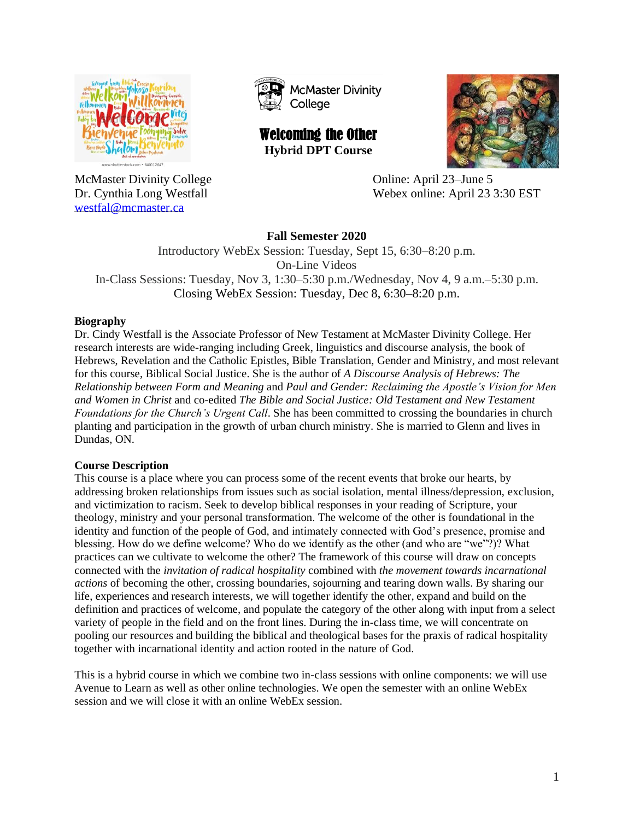

[westfal@mcmaster.ca](mailto:westfal@mcmaster.ca)



Welcoming the Other **Hybrid DPT Course**



McMaster Divinity College Constantine College Conline: April 23–June 5 Dr. Cynthia Long Westfall Webex online: April 23 3:30 EST

# **Fall Semester 2020**

Introductory WebEx Session: Tuesday, Sept 15, 6:30–8:20 p.m. On-Line Videos In-Class Sessions: Tuesday, Nov 3, 1:30–5:30 p.m./Wednesday, Nov 4, 9 a.m.–5:30 p.m. Closing WebEx Session: Tuesday, Dec 8, 6:30–8:20 p.m.

## **Biography**

Dr. Cindy Westfall is the Associate Professor of New Testament at McMaster Divinity College. Her research interests are wide-ranging including Greek, linguistics and discourse analysis, the book of Hebrews, Revelation and the Catholic Epistles, Bible Translation, Gender and Ministry, and most relevant for this course, Biblical Social Justice. She is the author of *A Discourse Analysis of Hebrews: The Relationship between Form and Meaning* and *Paul and Gender: Reclaiming the Apostle's Vision for Men and Women in Christ* and co-edited *The Bible and Social Justice: Old Testament and New Testament Foundations for the Church's Urgent Call*. She has been committed to crossing the boundaries in church planting and participation in the growth of urban church ministry. She is married to Glenn and lives in Dundas, ON.

#### **Course Description**

This course is a place where you can process some of the recent events that broke our hearts, by addressing broken relationships from issues such as social isolation, mental illness/depression, exclusion, and victimization to racism. Seek to develop biblical responses in your reading of Scripture, your theology, ministry and your personal transformation. The welcome of the other is foundational in the identity and function of the people of God, and intimately connected with God's presence, promise and blessing. How do we define welcome? Who do we identify as the other (and who are "we"?)? What practices can we cultivate to welcome the other? The framework of this course will draw on concepts connected with the *invitation of radical hospitality* combined with *the movement towards incarnational actions* of becoming the other, crossing boundaries, sojourning and tearing down walls. By sharing our life, experiences and research interests, we will together identify the other, expand and build on the definition and practices of welcome, and populate the category of the other along with input from a select variety of people in the field and on the front lines. During the in-class time, we will concentrate on pooling our resources and building the biblical and theological bases for the praxis of radical hospitality together with incarnational identity and action rooted in the nature of God.

This is a hybrid course in which we combine two in-class sessions with online components: we will use Avenue to Learn as well as other online technologies. We open the semester with an online WebEx session and we will close it with an online WebEx session.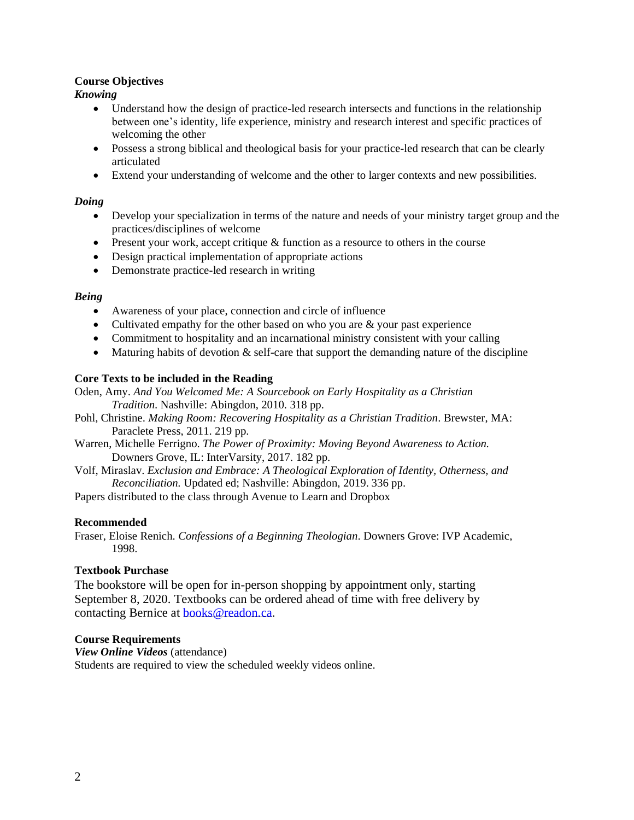## **Course Objectives**

*Knowing*

- Understand how the design of practice-led research intersects and functions in the relationship between one's identity, life experience, ministry and research interest and specific practices of welcoming the other
- Possess a strong biblical and theological basis for your practice-led research that can be clearly articulated
- Extend your understanding of welcome and the other to larger contexts and new possibilities.

## *Doing*

- Develop your specialization in terms of the nature and needs of your ministry target group and the practices/disciplines of welcome
- Present your work, accept critique & function as a resource to others in the course
- Design practical implementation of appropriate actions
- Demonstrate practice-led research in writing

## *Being*

- Awareness of your place, connection and circle of influence
- Cultivated empathy for the other based on who you are & your past experience
- Commitment to hospitality and an incarnational ministry consistent with your calling
- Maturing habits of devotion  $\&$  self-care that support the demanding nature of the discipline

## **Core Texts to be included in the Reading**

Oden, Amy. *And You Welcomed Me: A Sourcebook on Early Hospitality as a Christian Tradition*. Nashville: Abingdon, 2010. 318 pp.

- Pohl, Christine. *Making Room: Recovering Hospitality as a Christian Tradition*. Brewster, MA: Paraclete Press, 2011. 219 pp.
- Warren, Michelle Ferrigno. *The Power of Proximity: Moving Beyond Awareness to Action.* Downers Grove, IL: InterVarsity, 2017. 182 pp.
- Volf, Miraslav. *Exclusion and Embrace: A Theological Exploration of Identity, Otherness, and Reconciliation.* Updated ed; Nashville: Abingdon, 2019. 336 pp.
- Papers distributed to the class through Avenue to Learn and Dropbox

#### **Recommended**

Fraser, Eloise Renich. *Confessions of a Beginning Theologian*. Downers Grove: IVP Academic, 1998.

#### **Textbook Purchase**

The bookstore will be open for in-person shopping by appointment only, starting September 8, 2020. Textbooks can be ordered ahead of time with free delivery by contacting Bernice at [books@readon.ca.](mailto:books@readon.ca)

#### **Course Requirements**

*View Online Videos* (attendance) Students are required to view the scheduled weekly videos online.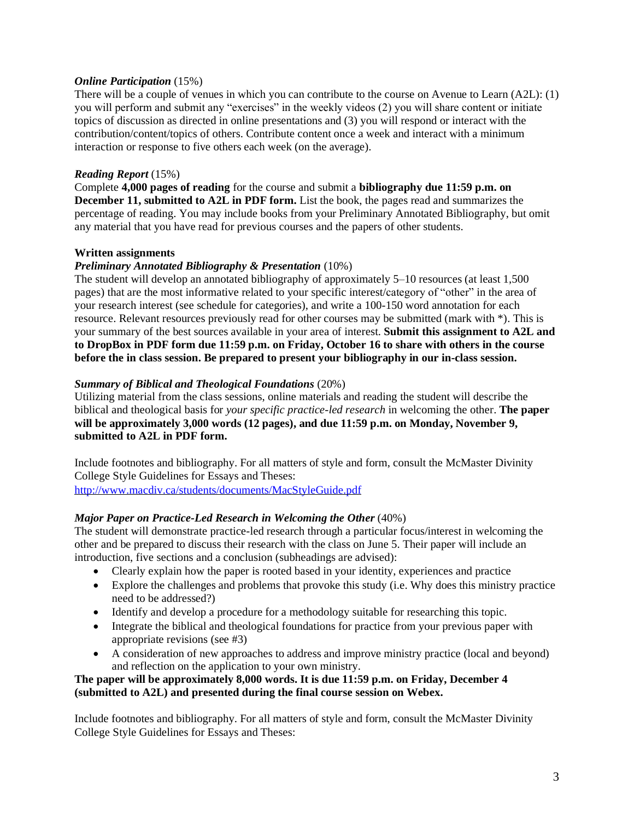#### *Online Participation* (15%)

There will be a couple of venues in which you can contribute to the course on Avenue to Learn (A2L): (1) you will perform and submit any "exercises" in the weekly videos (2) you will share content or initiate topics of discussion as directed in online presentations and (3) you will respond or interact with the contribution/content/topics of others. Contribute content once a week and interact with a minimum interaction or response to five others each week (on the average).

## *Reading Report* (15%)

Complete **4,000 pages of reading** for the course and submit a **bibliography due 11:59 p.m. on December 11, submitted to A2L in PDF form.** List the book, the pages read and summarizes the percentage of reading. You may include books from your Preliminary Annotated Bibliography, but omit any material that you have read for previous courses and the papers of other students.

## **Written assignments**

## *Preliminary Annotated Bibliography & Presentation* (10%)

The student will develop an annotated bibliography of approximately 5–10 resources (at least 1,500 pages) that are the most informative related to your specific interest/category of "other" in the area of your research interest (see schedule for categories), and write a 100-150 word annotation for each resource. Relevant resources previously read for other courses may be submitted (mark with \*). This is your summary of the best sources available in your area of interest. **Submit this assignment to A2L and to DropBox in PDF form due 11:59 p.m. on Friday, October 16 to share with others in the course before the in class session. Be prepared to present your bibliography in our in-class session.**

## *Summary of Biblical and Theological Foundations* (20%)

Utilizing material from the class sessions, online materials and reading the student will describe the biblical and theological basis for *your specific practice-led research* in welcoming the other. **The paper will be approximately 3,000 words (12 pages), and due 11:59 p.m. on Monday, November 9, submitted to A2L in PDF form.**

Include footnotes and bibliography. For all matters of style and form, consult the McMaster Divinity College Style Guidelines for Essays and Theses:

<http://www.macdiv.ca/students/documents/MacStyleGuide.pdf>

#### *Major Paper on Practice-Led Research in Welcoming the Other* (40%)

The student will demonstrate practice-led research through a particular focus/interest in welcoming the other and be prepared to discuss their research with the class on June 5. Their paper will include an introduction, five sections and a conclusion (subheadings are advised):

- Clearly explain how the paper is rooted based in your identity, experiences and practice
- Explore the challenges and problems that provoke this study (i.e. Why does this ministry practice need to be addressed?)
- Identify and develop a procedure for a methodology suitable for researching this topic.
- Integrate the biblical and theological foundations for practice from your previous paper with appropriate revisions (see #3)
- A consideration of new approaches to address and improve ministry practice (local and beyond) and reflection on the application to your own ministry.

## **The paper will be approximately 8,000 words. It is due 11:59 p.m. on Friday, December 4 (submitted to A2L) and presented during the final course session on Webex.**

Include footnotes and bibliography. For all matters of style and form, consult the McMaster Divinity College Style Guidelines for Essays and Theses: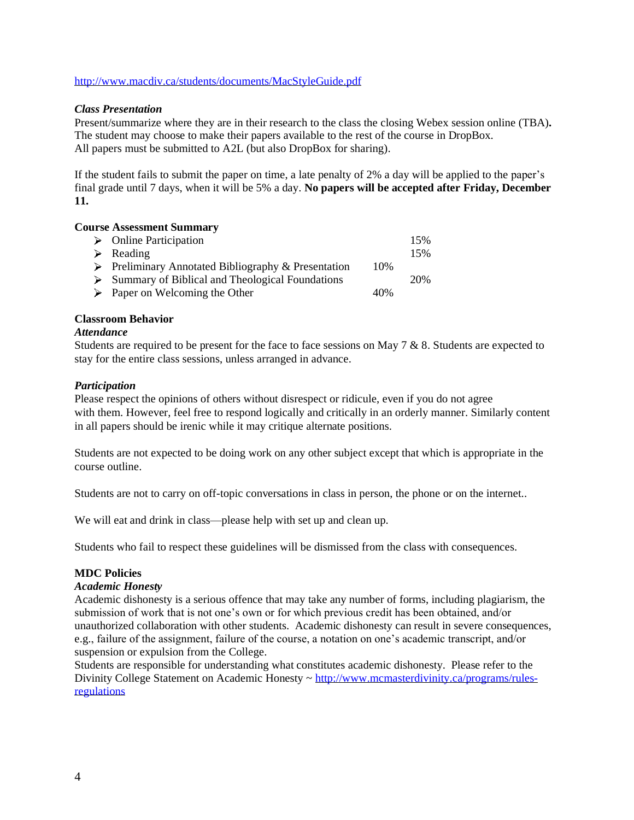<http://www.macdiv.ca/students/documents/MacStyleGuide.pdf>

#### *Class Presentation*

Present/summarize where they are in their research to the class the closing Webex session online (TBA)**.** The student may choose to make their papers available to the rest of the course in DropBox. All papers must be submitted to A2L (but also DropBox for sharing).

If the student fails to submit the paper on time, a late penalty of 2% a day will be applied to the paper's final grade until 7 days, when it will be 5% a day. **No papers will be accepted after Friday, December 11.**

#### **Course Assessment Summary**

| $\triangleright$ Online Participation                              |     | 15% |
|--------------------------------------------------------------------|-----|-----|
| $\triangleright$ Reading                                           |     | 15% |
| $\triangleright$ Preliminary Annotated Bibliography & Presentation | 10% |     |
| $\triangleright$ Summary of Biblical and Theological Foundations   |     | 20% |
| $\triangleright$ Paper on Welcoming the Other                      | 40% |     |

## **Classroom Behavior**

#### *Attendance*

Students are required to be present for the face to face sessions on May  $7 \& 8$ . Students are expected to stay for the entire class sessions, unless arranged in advance.

## *Participation*

Please respect the opinions of others without disrespect or ridicule, even if you do not agree with them. However, feel free to respond logically and critically in an orderly manner. Similarly content in all papers should be irenic while it may critique alternate positions.

Students are not expected to be doing work on any other subject except that which is appropriate in the course outline.

Students are not to carry on off-topic conversations in class in person, the phone or on the internet..

We will eat and drink in class—please help with set up and clean up.

Students who fail to respect these guidelines will be dismissed from the class with consequences.

#### **MDC Policies**

#### *Academic Honesty*

Academic dishonesty is a serious offence that may take any number of forms, including plagiarism, the submission of work that is not one's own or for which previous credit has been obtained, and/or unauthorized collaboration with other students. Academic dishonesty can result in severe consequences, e.g., failure of the assignment, failure of the course, a notation on one's academic transcript, and/or suspension or expulsion from the College.

Students are responsible for understanding what constitutes academic dishonesty. Please refer to the Divinity College Statement on Academic Honesty ~ [http://www.mcmasterdivinity.ca/programs/rules](http://www.mcmasterdivinity.ca/programs/rules-regulations)[regulations](http://www.mcmasterdivinity.ca/programs/rules-regulations)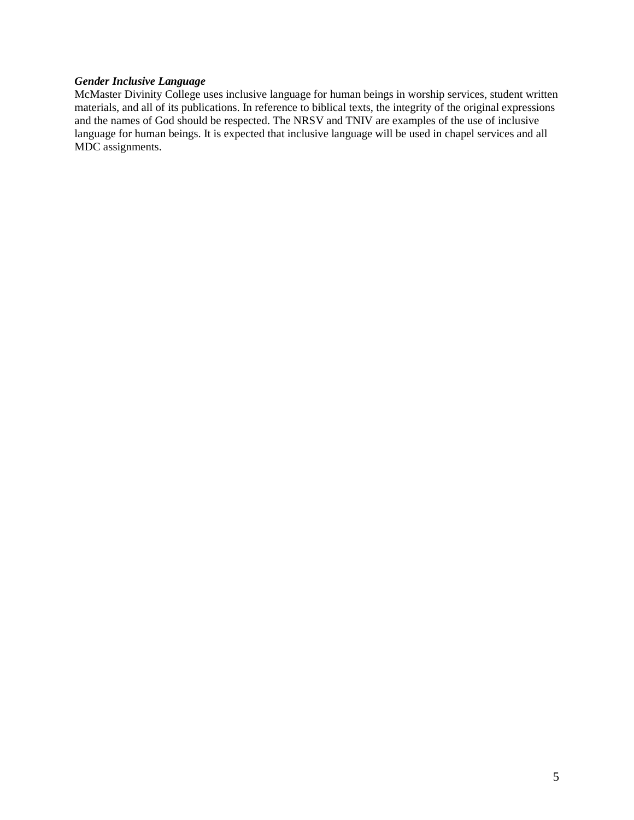## *Gender Inclusive Language*

McMaster Divinity College uses inclusive language for human beings in worship services, student written materials, and all of its publications. In reference to biblical texts, the integrity of the original expressions and the names of God should be respected. The NRSV and TNIV are examples of the use of inclusive language for human beings. It is expected that inclusive language will be used in chapel services and all MDC assignments.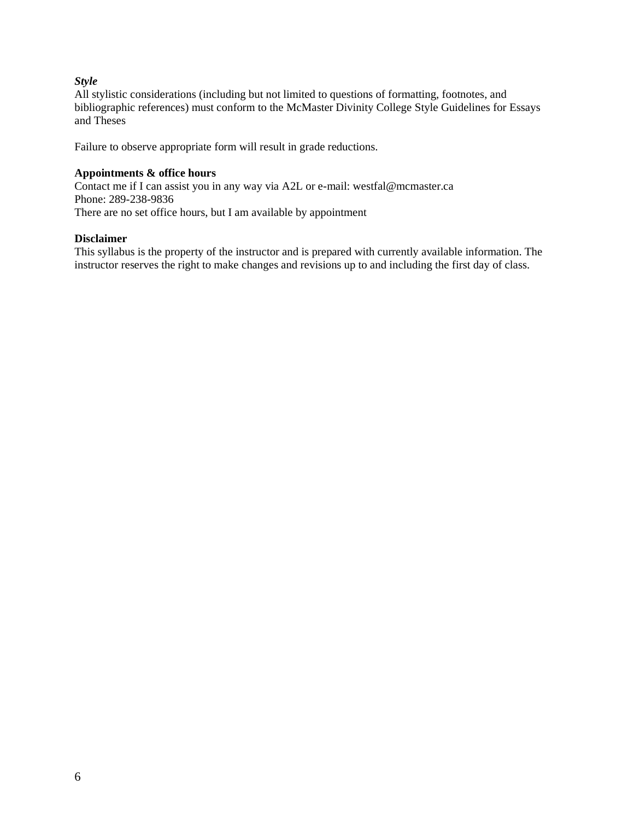## *Style*

All stylistic considerations (including but not limited to questions of formatting, footnotes, and bibliographic references) must conform to the McMaster Divinity College Style Guidelines for Essays and Theses

Failure to observe appropriate form will result in grade reductions.

#### **Appointments & office hours**

Contact me if I can assist you in any way via A2L or e-mail: westfal@mcmaster.ca Phone: 289-238-9836 There are no set office hours, but I am available by appointment

## **Disclaimer**

This syllabus is the property of the instructor and is prepared with currently available information. The instructor reserves the right to make changes and revisions up to and including the first day of class.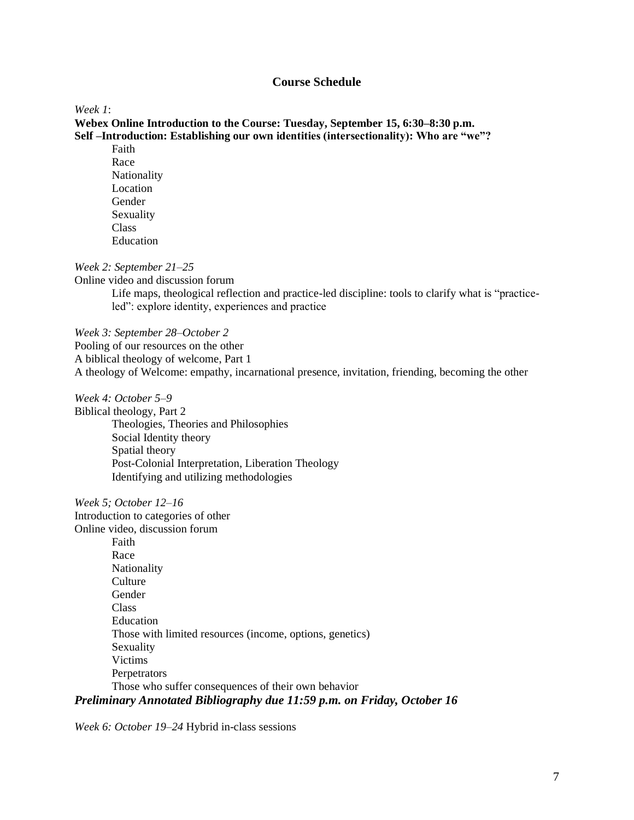## **Course Schedule**

#### *Week 1*:

**Webex Online Introduction to the Course: Tuesday, September 15, 6:30–8:30 p.m. Self –Introduction: Establishing our own identities (intersectionality): Who are "we"?**

Faith Race Nationality Location Gender Sexuality Class Education

*Week 2: September 21–25* 

Online video and discussion forum Life maps, theological reflection and practice-led discipline: tools to clarify what is "practiceled": explore identity, experiences and practice

*Week 3: September 28–October 2* Pooling of our resources on the other A biblical theology of welcome, Part 1 A theology of Welcome: empathy, incarnational presence, invitation, friending, becoming the other

*Week 4: October 5–9*

Biblical theology, Part 2 Theologies, Theories and Philosophies Social Identity theory Spatial theory Post-Colonial Interpretation, Liberation Theology Identifying and utilizing methodologies

*Week 5; October 12–16*

Introduction to categories of other Online video, discussion forum Faith Race Nationality **Culture** Gender Class Education Those with limited resources (income, options, genetics) Sexuality Victims **Perpetrators** Those who suffer consequences of their own behavior *Preliminary Annotated Bibliography due 11:59 p.m. on Friday, October 16*

*Week 6: October 19–24* Hybrid in-class sessions